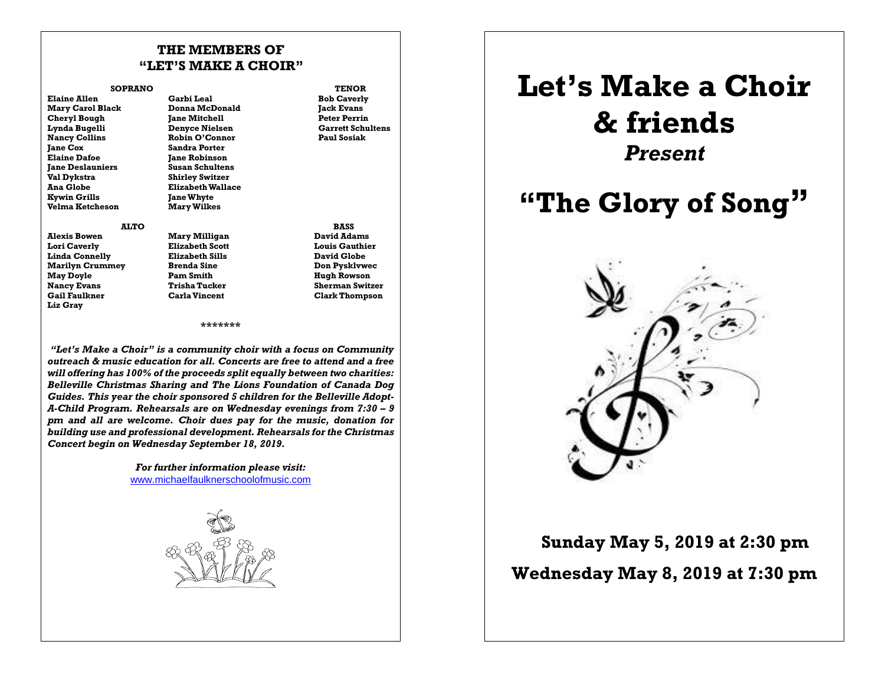### **THE MEMBERS OF "LET'S MAKE A CHOIR"**

#### **SOPRANO TENOR**

**Jane Cox Sandra Porter Elaine Dafoe Jane Robinson Val Dykstra Shirley Switzer Kywin Grills Jane Whyte Ketcheson** 

**Elaine Allen Garbi Leal Bob Caverly Donna McDonald Cheryl Bough Jane Mitchell Peter Perrin Lynda Bugelli Denyce Nielsen Garrett Schultens**<br> **Nancy Collins Robin O'Connor Paul Sosiak**  $Rabin O'Connor$ **Jane Deslauniers Susan Schultens Elizabeth Wallace** 

**Alexis Bowen Mary Milligan David Adams Lori Caverly Elizabeth Scott Louis Gauthier Linda Connelly Elizabeth Sills David Globe Marilyn Crummey May Doyle Pam Smith Hugh Rowson Nancy Evans Trisha Tucker** Sherman Switzer<br> **Gail Faultner** Carla Vincent<br> **Clark Thompson Liz Gray**

 **ALTO BASS Clark Thompson** 

### **\*\*\*\*\*\*\***

*"Let's Make a Choir" is a community choir with a focus on Community outreach & music education for all. Concerts are free to attend and a free will offering has 100% of the proceeds split equally between two charities: Belleville Christmas Sharing and The Lions Foundation of Canada Dog Guides. This year the choir sponsored 5 children for the Belleville Adopt-A-Child Program. Rehearsals are on Wednesday evenings from 7:30 – 9 pm and all are welcome. Choir dues pay for the music, donation for building use and professional development. Rehearsals for the Christmas Concert begin on Wednesday September 18, 2019.*

> *For further information please visit:*  [www.michaelfaulknerschoolofmusic.com](http://www.michaelfaulknerschoolofmusic.com/)



# **Let's Make a Choir & friends** *Present*

## **"The Glory of Song"**



 **Sunday May 5, <sup>2019</sup> at 2:30 pm Wednesday May 8, 2019 at 7:30 pm**